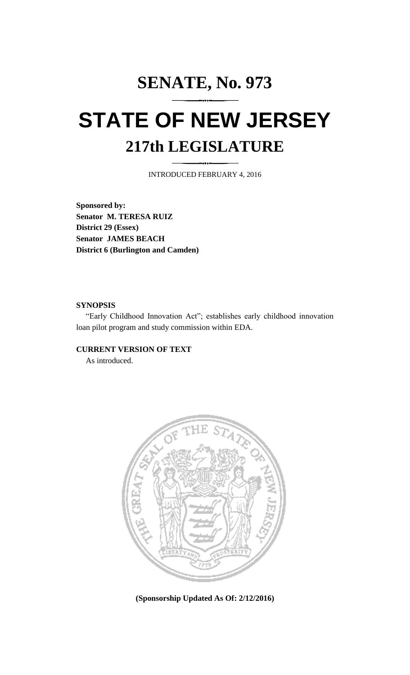# **SENATE, No. 973 STATE OF NEW JERSEY 217th LEGISLATURE**

INTRODUCED FEBRUARY 4, 2016

**Sponsored by: Senator M. TERESA RUIZ District 29 (Essex) Senator JAMES BEACH District 6 (Burlington and Camden)**

#### **SYNOPSIS**

"Early Childhood Innovation Act"; establishes early childhood innovation loan pilot program and study commission within EDA.

### **CURRENT VERSION OF TEXT**

As introduced.



**(Sponsorship Updated As Of: 2/12/2016)**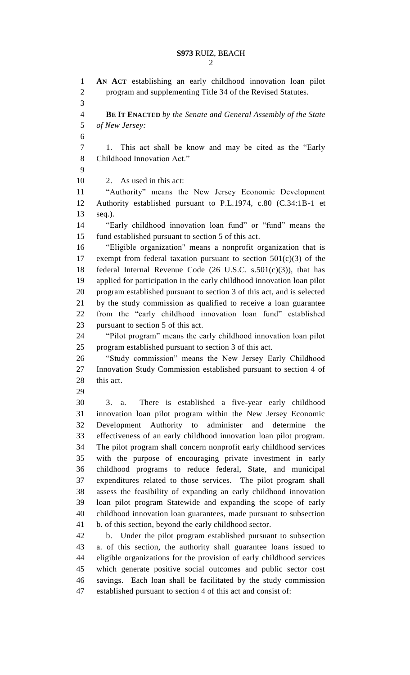**AN ACT** establishing an early childhood innovation loan pilot program and supplementing Title 34 of the Revised Statutes. **BE IT ENACTED** *by the Senate and General Assembly of the State of New Jersey:* 1. This act shall be know and may be cited as the "Early Childhood Innovation Act." 2. As used in this act: "Authority" means the New Jersey Economic Development Authority established pursuant to P.L.1974, c.80 (C.34:1B-1 et seq.). "Early childhood innovation loan fund" or "fund" means the fund established pursuant to section 5 of this act. "Eligible organization" means a nonprofit organization that is 17 exempt from federal taxation pursuant to section  $501(c)(3)$  of the 18 federal Internal Revenue Code  $(26 \text{ U.S.C. s.}501(c)(3))$ , that has applied for participation in the early childhood innovation loan pilot program established pursuant to section 3 of this act, and is selected by the study commission as qualified to receive a loan guarantee from the "early childhood innovation loan fund" established pursuant to section 5 of this act. "Pilot program" means the early childhood innovation loan pilot program established pursuant to section 3 of this act. "Study commission" means the New Jersey Early Childhood Innovation Study Commission established pursuant to section 4 of 28 this act. 3. a. There is established a five-year early childhood innovation loan pilot program within the New Jersey Economic Development Authority to administer and determine the effectiveness of an early childhood innovation loan pilot program. The pilot program shall concern nonprofit early childhood services with the purpose of encouraging private investment in early childhood programs to reduce federal, State, and municipal expenditures related to those services. The pilot program shall assess the feasibility of expanding an early childhood innovation loan pilot program Statewide and expanding the scope of early childhood innovation loan guarantees, made pursuant to subsection b. of this section, beyond the early childhood sector. b. Under the pilot program established pursuant to subsection a. of this section, the authority shall guarantee loans issued to eligible organizations for the provision of early childhood services which generate positive social outcomes and public sector cost savings. Each loan shall be facilitated by the study commission established pursuant to section 4 of this act and consist of: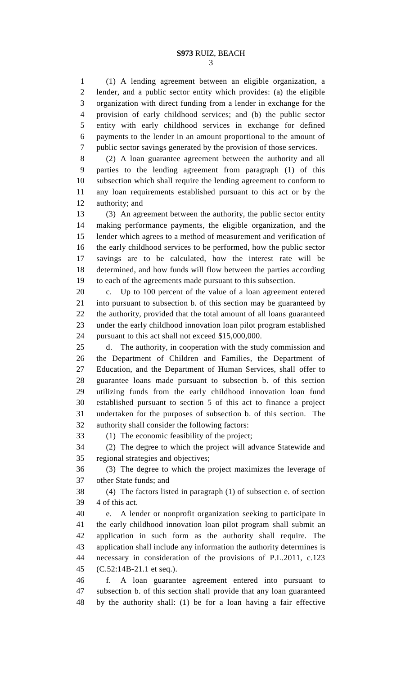(1) A lending agreement between an eligible organization, a lender, and a public sector entity which provides: (a) the eligible organization with direct funding from a lender in exchange for the provision of early childhood services; and (b) the public sector entity with early childhood services in exchange for defined payments to the lender in an amount proportional to the amount of public sector savings generated by the provision of those services.

 (2) A loan guarantee agreement between the authority and all parties to the lending agreement from paragraph (1) of this subsection which shall require the lending agreement to conform to any loan requirements established pursuant to this act or by the authority; and

 (3) An agreement between the authority, the public sector entity making performance payments, the eligible organization, and the lender which agrees to a method of measurement and verification of the early childhood services to be performed, how the public sector savings are to be calculated, how the interest rate will be determined, and how funds will flow between the parties according to each of the agreements made pursuant to this subsection.

 c. Up to 100 percent of the value of a loan agreement entered into pursuant to subsection b. of this section may be guaranteed by the authority, provided that the total amount of all loans guaranteed under the early childhood innovation loan pilot program established pursuant to this act shall not exceed \$15,000,000.

 d. The authority, in cooperation with the study commission and the Department of Children and Families, the Department of Education, and the Department of Human Services, shall offer to guarantee loans made pursuant to subsection b. of this section utilizing funds from the early childhood innovation loan fund established pursuant to section 5 of this act to finance a project undertaken for the purposes of subsection b. of this section. The authority shall consider the following factors:

(1) The economic feasibility of the project;

 (2) The degree to which the project will advance Statewide and regional strategies and objectives;

 (3) The degree to which the project maximizes the leverage of other State funds; and

 (4) The factors listed in paragraph (1) of subsection e. of section 4 of this act.

 e. A lender or nonprofit organization seeking to participate in the early childhood innovation loan pilot program shall submit an application in such form as the authority shall require. The application shall include any information the authority determines is necessary in consideration of the provisions of P.L.2011, c.123 (C.52:14B-21.1 et seq.).

 f. A loan guarantee agreement entered into pursuant to subsection b. of this section shall provide that any loan guaranteed by the authority shall: (1) be for a loan having a fair effective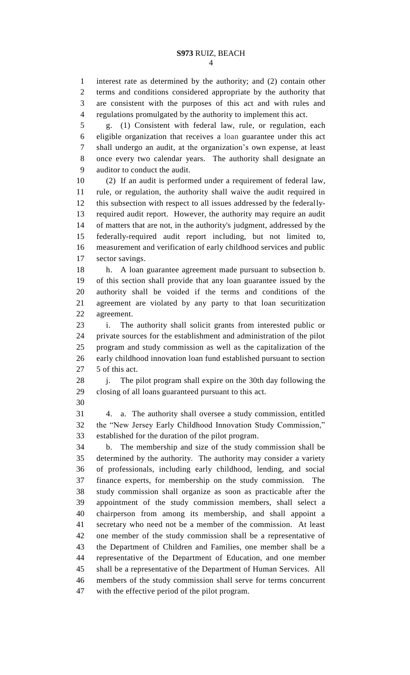interest rate as determined by the authority; and (2) contain other terms and conditions considered appropriate by the authority that are consistent with the purposes of this act and with rules and regulations promulgated by the authority to implement this act.

 g. (1) Consistent with federal law, rule, or regulation, each eligible organization that receives a loan guarantee under this act shall undergo an audit, at the organization's own expense, at least once every two calendar years. The authority shall designate an auditor to conduct the audit.

 (2) If an audit is performed under a requirement of federal law, rule, or regulation, the authority shall waive the audit required in this subsection with respect to all issues addressed by the federally- required audit report. However, the authority may require an audit of matters that are not, in the authority's judgment, addressed by the federally-required audit report including, but not limited to, measurement and verification of early childhood services and public sector savings.

 h. A loan guarantee agreement made pursuant to subsection b. of this section shall provide that any loan guarantee issued by the authority shall be voided if the terms and conditions of the agreement are violated by any party to that loan securitization agreement.

 i. The authority shall solicit grants from interested public or private sources for the establishment and administration of the pilot program and study commission as well as the capitalization of the early childhood innovation loan fund established pursuant to section 27 5 of this act.

 j. The pilot program shall expire on the 30th day following the closing of all loans guaranteed pursuant to this act.

 4. a. The authority shall oversee a study commission, entitled the "New Jersey Early Childhood Innovation Study Commission," established for the duration of the pilot program.

 b. The membership and size of the study commission shall be determined by the authority. The authority may consider a variety of professionals, including early childhood, lending, and social finance experts, for membership on the study commission. The study commission shall organize as soon as practicable after the appointment of the study commission members, shall select a chairperson from among its membership, and shall appoint a secretary who need not be a member of the commission. At least one member of the study commission shall be a representative of the Department of Children and Families, one member shall be a representative of the Department of Education, and one member shall be a representative of the Department of Human Services. All members of the study commission shall serve for terms concurrent with the effective period of the pilot program.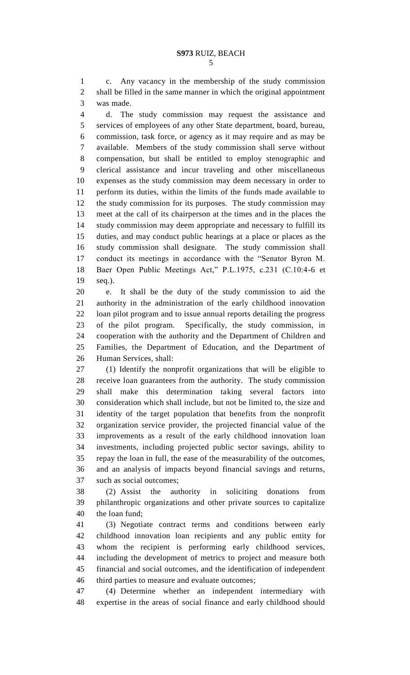c. Any vacancy in the membership of the study commission shall be filled in the same manner in which the original appointment was made.

 d. The study commission may request the assistance and services of employees of any other State department, board, bureau, commission, task force, or agency as it may require and as may be available. Members of the study commission shall serve without compensation, but shall be entitled to employ stenographic and clerical assistance and incur traveling and other miscellaneous expenses as the study commission may deem necessary in order to perform its duties, within the limits of the funds made available to the study commission for its purposes. The study commission may meet at the call of its chairperson at the times and in the places the study commission may deem appropriate and necessary to fulfill its duties, and may conduct public hearings at a place or places as the study commission shall designate. The study commission shall conduct its meetings in accordance with the "Senator Byron M. Baer Open Public Meetings Act," P.L.1975, c.231 (C.10:4-6 et seq.).

 e. It shall be the duty of the study commission to aid the authority in the administration of the early childhood innovation loan pilot program and to issue annual reports detailing the progress of the pilot program. Specifically, the study commission, in cooperation with the authority and the Department of Children and Families, the Department of Education, and the Department of Human Services, shall:

 (1) Identify the nonprofit organizations that will be eligible to receive loan guarantees from the authority. The study commission shall make this determination taking several factors into consideration which shall include, but not be limited to, the size and identity of the target population that benefits from the nonprofit organization service provider, the projected financial value of the improvements as a result of the early childhood innovation loan investments, including projected public sector savings, ability to repay the loan in full, the ease of the measurability of the outcomes, and an analysis of impacts beyond financial savings and returns, such as social outcomes;

 (2) Assist the authority in soliciting donations from philanthropic organizations and other private sources to capitalize the loan fund;

 (3) Negotiate contract terms and conditions between early childhood innovation loan recipients and any public entity for whom the recipient is performing early childhood services, including the development of metrics to project and measure both financial and social outcomes, and the identification of independent third parties to measure and evaluate outcomes;

 (4) Determine whether an independent intermediary with expertise in the areas of social finance and early childhood should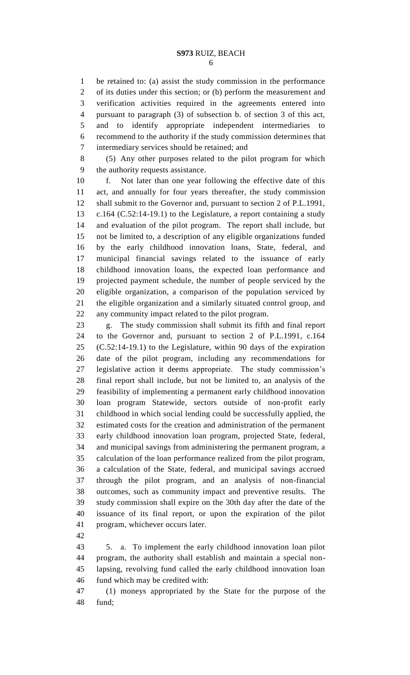be retained to: (a) assist the study commission in the performance of its duties under this section; or (b) perform the measurement and verification activities required in the agreements entered into pursuant to paragraph (3) of subsection b. of section 3 of this act, and to identify appropriate independent intermediaries to recommend to the authority if the study commission determines that intermediary services should be retained; and

 (5) Any other purposes related to the pilot program for which the authority requests assistance.

 f. Not later than one year following the effective date of this act, and annually for four years thereafter, the study commission shall submit to the Governor and, pursuant to section 2 of P.L.1991, c.164 (C.52:14-19.1) to the Legislature, a report containing a study and evaluation of the pilot program. The report shall include, but not be limited to, a description of any eligible organizations funded by the early childhood innovation loans, State, federal, and municipal financial savings related to the issuance of early childhood innovation loans, the expected loan performance and projected payment schedule, the number of people serviced by the eligible organization, a comparison of the population serviced by the eligible organization and a similarly situated control group, and any community impact related to the pilot program.

 g. The study commission shall submit its fifth and final report to the Governor and, pursuant to section 2 of P.L.1991, c.164 (C.52:14-19.1) to the Legislature, within 90 days of the expiration date of the pilot program, including any recommendations for legislative action it deems appropriate. The study commission's final report shall include, but not be limited to, an analysis of the feasibility of implementing a permanent early childhood innovation loan program Statewide, sectors outside of non-profit early childhood in which social lending could be successfully applied, the estimated costs for the creation and administration of the permanent early childhood innovation loan program, projected State, federal, and municipal savings from administering the permanent program, a calculation of the loan performance realized from the pilot program, a calculation of the State, federal, and municipal savings accrued through the pilot program, and an analysis of non-financial outcomes, such as community impact and preventive results. The study commission shall expire on the 30th day after the date of the issuance of its final report, or upon the expiration of the pilot program, whichever occurs later.

 5. a. To implement the early childhood innovation loan pilot program, the authority shall establish and maintain a special non- lapsing, revolving fund called the early childhood innovation loan fund which may be credited with:

 (1) moneys appropriated by the State for the purpose of the fund;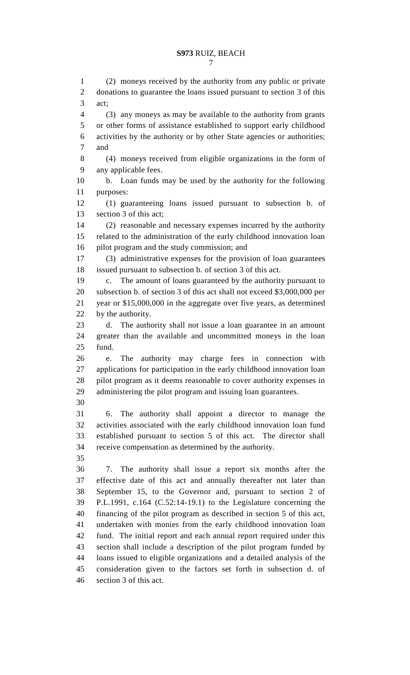#### **S973** RUIZ, BEACH

 (2) moneys received by the authority from any public or private donations to guarantee the loans issued pursuant to section 3 of this act; (3) any moneys as may be available to the authority from grants or other forms of assistance established to support early childhood activities by the authority or by other State agencies or authorities; and (4) moneys received from eligible organizations in the form of any applicable fees. b. Loan funds may be used by the authority for the following purposes: (1) guaranteeing loans issued pursuant to subsection b. of section 3 of this act; (2) reasonable and necessary expenses incurred by the authority related to the administration of the early childhood innovation loan pilot program and the study commission; and (3) administrative expenses for the provision of loan guarantees issued pursuant to subsection b. of section 3 of this act. c. The amount of loans guaranteed by the authority pursuant to subsection b. of section 3 of this act shall not exceed \$3,000,000 per year or \$15,000,000 in the aggregate over five years, as determined by the authority. d. The authority shall not issue a loan guarantee in an amount greater than the available and uncommitted moneys in the loan fund. e. The authority may charge fees in connection with applications for participation in the early childhood innovation loan pilot program as it deems reasonable to cover authority expenses in administering the pilot program and issuing loan guarantees. 6. The authority shall appoint a director to manage the activities associated with the early childhood innovation loan fund established pursuant to section 5 of this act. The director shall receive compensation as determined by the authority. 7. The authority shall issue a report six months after the effective date of this act and annually thereafter not later than September 15, to the Governor and, pursuant to section 2 of P.L.1991, c.164 (C.52:14-19.1) to the Legislature concerning the financing of the pilot program as described in section 5 of this act, undertaken with monies from the early childhood innovation loan fund. The initial report and each annual report required under this section shall include a description of the pilot program funded by loans issued to eligible organizations and a detailed analysis of the consideration given to the factors set forth in subsection d. of

section 3 of this act.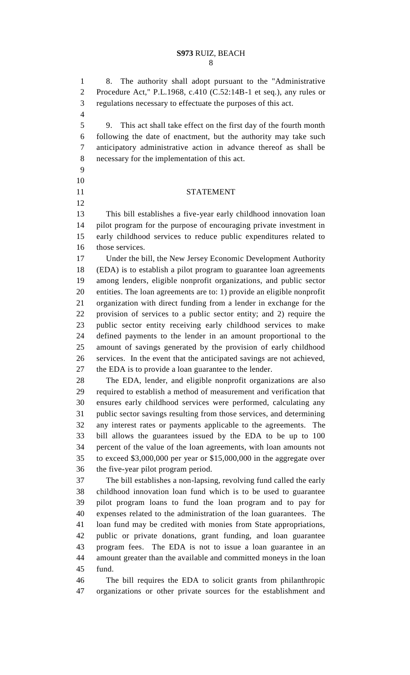#### **S973** RUIZ, BEACH

 8. The authority shall adopt pursuant to the "Administrative Procedure Act," P.L.1968, c.410 (C.52:14B-1 et seq.), any rules or regulations necessary to effectuate the purposes of this act.

 9. This act shall take effect on the first day of the fourth month following the date of enactment, but the authority may take such anticipatory administrative action in advance thereof as shall be necessary for the implementation of this act.

 

## STATEMENT

 This bill establishes a five-year early childhood innovation loan pilot program for the purpose of encouraging private investment in early childhood services to reduce public expenditures related to those services.

 Under the bill, the New Jersey Economic Development Authority (EDA) is to establish a pilot program to guarantee loan agreements among lenders, eligible nonprofit organizations, and public sector entities. The loan agreements are to: 1) provide an eligible nonprofit organization with direct funding from a lender in exchange for the provision of services to a public sector entity; and 2) require the public sector entity receiving early childhood services to make defined payments to the lender in an amount proportional to the amount of savings generated by the provision of early childhood services. In the event that the anticipated savings are not achieved, the EDA is to provide a loan guarantee to the lender.

 The EDA, lender, and eligible nonprofit organizations are also required to establish a method of measurement and verification that ensures early childhood services were performed, calculating any public sector savings resulting from those services, and determining any interest rates or payments applicable to the agreements. The bill allows the guarantees issued by the EDA to be up to 100 percent of the value of the loan agreements, with loan amounts not to exceed \$3,000,000 per year or \$15,000,000 in the aggregate over the five-year pilot program period.

 The bill establishes a non-lapsing, revolving fund called the early childhood innovation loan fund which is to be used to guarantee pilot program loans to fund the loan program and to pay for expenses related to the administration of the loan guarantees. The loan fund may be credited with monies from State appropriations, public or private donations, grant funding, and loan guarantee program fees. The EDA is not to issue a loan guarantee in an amount greater than the available and committed moneys in the loan fund.

 The bill requires the EDA to solicit grants from philanthropic organizations or other private sources for the establishment and